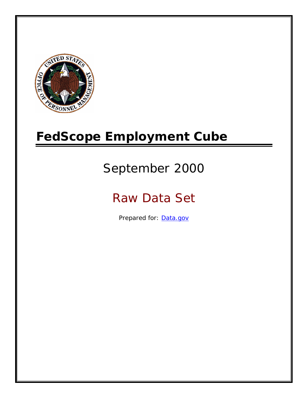

# **FedScope Employment Cube**

# September 2000

# Raw Data Set

Prepared for: [Data.gov](http://www.data.gov/)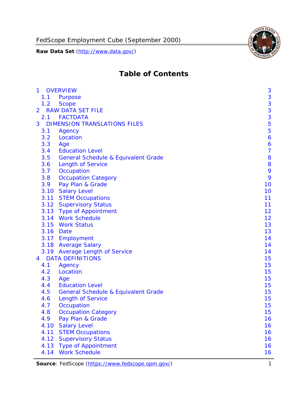

# **Table of Contents**

| $\mathbf{1}$ | <b>OVERVIEW</b>                                | 3              |
|--------------|------------------------------------------------|----------------|
| 1.1          | Purpose                                        | 3              |
| 1.2          | <b>Scope</b>                                   | 3              |
| 2            | <b>RAW DATA SET FILE</b>                       | 3              |
| 2.1          | <b>FACTDATA</b>                                | 3              |
| 3            | <b>DIMENSION TRANSLATIONS FILES</b>            | 5              |
| 3.1          | Agency                                         | 5              |
| 3.2          | Location                                       | 6              |
| 3.3          | Age                                            | 6              |
| 3.4          | <b>Education Level</b>                         | $\overline{7}$ |
| 3.5          | <b>General Schedule &amp; Equivalent Grade</b> | 8              |
| 3.6          | <b>Length of Service</b>                       | 8              |
| 3.7          | Occupation                                     | 9              |
| 3.8          | <b>Occupation Category</b>                     | 9              |
| 3.9          | Pay Plan & Grade                               | 10             |
| 3.10         | <b>Salary Level</b>                            | 10             |
|              | 3.11 STEM Occupations                          | 11             |
|              | 3.12 Supervisory Status                        | 11             |
|              | 3.13 Type of Appointment                       | 12             |
|              | 3.14 Work Schedule                             | 12             |
| 3.15         | <b>Work Status</b>                             | 13             |
|              | 3.16 Date                                      | 13             |
|              | 3.17 Employment                                | 14             |
|              | 3.18 Average Salary                            | 14             |
|              | 3.19 Average Length of Service                 | 14             |
| 4            | <b>DATA DEFINITIONS</b>                        | 15             |
| 4.1          | Agency                                         | 15             |
| 4.2          | Location                                       | 15             |
| 4.3          | Age                                            | 15             |
| 4.4          | <b>Education Level</b>                         | 15             |
| 4.5          | <b>General Schedule &amp; Equivalent Grade</b> | 15             |
| 4.6          | <b>Length of Service</b>                       | 15             |
| 4.7          | Occupation                                     | 15             |
| 4.8          | <b>Occupation Category</b>                     | 15             |
| 4.9          | Pay Plan & Grade                               | 16             |
| 4.10         | <b>Salary Level</b>                            | 16             |
| 4.11         | <b>STEM Occupations</b>                        | 16             |
| 4.12         | <b>Supervisory Status</b>                      | 16             |
| 4.13         | <b>Type of Appointment</b>                     | 16             |
| 4.14         | <b>Work Schedule</b>                           | 16             |

**Source**: FedScope (https://www.fedscope.opm.gov/) 1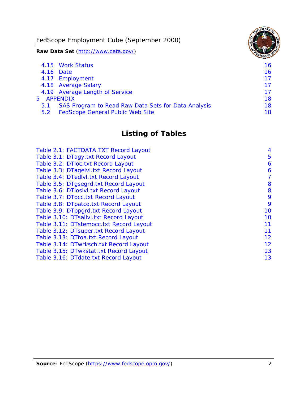FedScope Employment Cube (September 2000)

**Raw Data Set** (http://www.data.gov/)

|     | 4.15 Work Status                                    | 16 |
|-----|-----------------------------------------------------|----|
|     | 4.16 Date                                           | 16 |
|     | 4.17 Employment                                     | 17 |
|     | 4.18 Average Salary                                 | 17 |
|     | 4.19 Average Length of Service                      | 17 |
|     | 5 APPENDIX                                          | 18 |
| 5.1 | SAS Program to Read Raw Data Sets for Data Analysis | 18 |
| 5.2 | <b>FedScope General Public Web Site</b>             | 18 |

# **Listing of Tables**

| Table 2.1: FACTDATA.TXT Record Layout   | 4  |
|-----------------------------------------|----|
| Table 3.1: DTagy.txt Record Layout      | 5  |
| Table 3.2: DTloc.txt Record Layout      | 6  |
| Table 3.3: DTagelvl.txt Record Layout   | 6  |
| Table 3.4: DTedlvl.txt Record Layout    | 7  |
| Table 3.5: DTgsegrd.txt Record Layout   | 8  |
| Table 3.6: DTIoslyl.txt Record Layout   | 8  |
| Table 3.7: DTocc.txt Record Layout      | 9  |
| Table 3.8: DTpatco.txt Record Layout    | 9  |
| Table 3.9: DTppgrd.txt Record Layout    | 10 |
| Table 3.10: DTsallvl.txt Record Layout  | 10 |
| Table 3.11: DTstemocc.txt Record Layout | 11 |
| Table 3.12: DTsuper.txt Record Layout   | 11 |
| Table 3.13: DTtoa.txt Record Layout     | 12 |
| Table 3.14: DTwrksch.txt Record Layout  | 12 |
| Table 3.15: DTwkstat.txt Record Layout  | 13 |
| Table 3.16: DTdate.txt Record Layout    | 13 |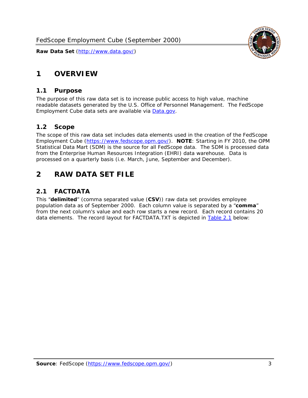<span id="page-3-0"></span>

#### *1.1 Purpose*

<span id="page-3-1"></span>The purpose of this raw data set is to increase public access to high value, machine readable datasets generated by the U.S. Office of Personnel Management. The FedScope Employment Cube data sets are available via [Data.gov](http://www.data.gov/).

## <span id="page-3-2"></span>*1.2 Scope*

The scope of this raw data set includes data elements used in the creation of the FedScope Employment Cube [\(https://www.fedscope.opm.gov/\)](https://www.fedscope.opm.gov/). **NOTE**: Starting in FY 2010, the OPM Statistical Data Mart (SDM) is the source for all FedScope data. The SDM is processed data from the Enterprise Human Resources Integration (EHRI) data warehouse. Data is processed on a quarterly basis (i.e. March, June, September and December).

# <span id="page-3-3"></span>**2 RAW DATA SET FILE**

## <span id="page-3-4"></span>*2.1 FACTDATA*

This "**delimited**" (comma separated value (**CSV**)) raw data set provides employee population data as of September 2000. Each column value is separated by a "**comma**" from the next column's value and each row starts a new record. Each record contains 20 data elements. The record layout for FACTDATA.TXT is depicted in [Table 2.1](#page-4-1) below:

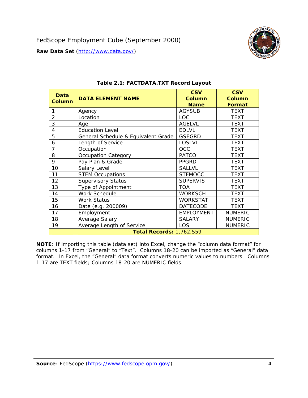<span id="page-4-1"></span><span id="page-4-0"></span>

**NOTE**: If importing this table (data set) into Excel, change the "column data format" for columns 1-17 from "General" to "Text". Columns 18-20 can be imported as "General" data format. In Excel, the "General" data format converts numeric values to numbers. Columns 1-17 are TEXT fields; Columns 18-20 are NUMERIC fields.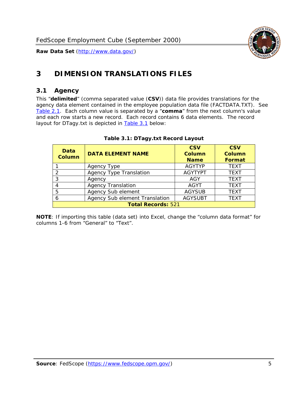

# <span id="page-5-0"></span>**3 DIMENSION TRANSLATIONS FILES**

#### <span id="page-5-1"></span>*3.1 Agency*

<span id="page-5-3"></span><span id="page-5-2"></span>This "**delimited**" (comma separated value (**CSV**)) data file provides translations for the agency data element contained in the employee population data file (FACTDATA.TXT). See [Table 2.1.](#page-4-1) Each column value is separated by a "**comma**" from the next column's value and each row starts a new record. Each record contains 6 data elements. The record layout for DTagy.txt is depicted in [Table 3.1](#page-5-3) below:

| Data<br>Column            | <b>DATA ELEMENT NAME</b>       | <b>CSV</b><br><b>Column</b><br><b>Name</b> | <b>CSV</b><br>Column<br><b>Format</b> |  |
|---------------------------|--------------------------------|--------------------------------------------|---------------------------------------|--|
|                           | Agency Type                    | <b>AGYTYP</b>                              | <b>TEXT</b>                           |  |
|                           | <b>Agency Type Translation</b> | <b>AGYTYPT</b>                             | <b>TEXT</b>                           |  |
| 3                         | Agency                         | AGY                                        | <b>TEXT</b>                           |  |
|                           | <b>Agency Translation</b>      | AGYT                                       | <b>TEXT</b>                           |  |
| -5                        | Agency Sub element             | <b>AGYSUB</b>                              | <b>TEXT</b>                           |  |
|                           | Agency Sub element Translation | <b>AGYSUBT</b>                             | <b>TEXT</b>                           |  |
| <b>Total Records: 521</b> |                                |                                            |                                       |  |

#### **Table 3.1: DTagy.txt Record Layout**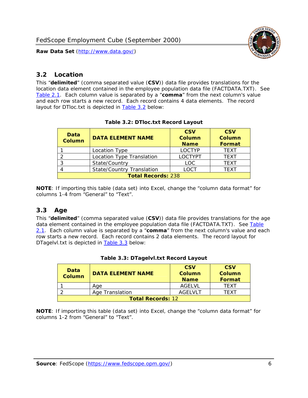

#### <span id="page-6-0"></span>*3.2 Location*

<span id="page-6-4"></span><span id="page-6-2"></span>This "**delimited**" (comma separated value (**CSV**)) data file provides translations for the location data element contained in the employee population data file (FACTDATA.TXT). See [Table 2.1.](#page-4-1) Each column value is separated by a "**comma**" from the next column's value and each row starts a new record. Each record contains 4 data elements. The record layout for DTloc.txt is depicted in [Table 3.2](#page-6-4) below:

| Data<br><b>Column</b>     | <b>DATA ELEMENT NAME</b>         | <b>CSV</b><br>Column<br><b>Name</b> | <b>CSV</b><br><b>Column</b><br><b>Format</b> |  |  |
|---------------------------|----------------------------------|-------------------------------------|----------------------------------------------|--|--|
|                           | Location Type                    | <b>LOCTYP</b>                       | <b>TFXT</b>                                  |  |  |
|                           | Location Type Translation        | <b>LOCTYPT</b>                      | <b>TFXT</b>                                  |  |  |
| ⌒                         | State/Country                    | <b>LOC</b>                          | <b>TEXT</b>                                  |  |  |
|                           | <b>State/Country Translation</b> | LOCT                                | <b>TFXT</b>                                  |  |  |
| <b>Total Records: 238</b> |                                  |                                     |                                              |  |  |

#### **Table 3.2: DTloc.txt Record Layout**

**NOTE**: If importing this table (data set) into Excel, change the "column data format" for columns 1-4 from "General" to "Text".

#### <span id="page-6-1"></span>*3.3 Age*

<span id="page-6-5"></span><span id="page-6-3"></span>This "**delimited**" (comma separated value (**CSV**)) data file provides translations for the age data element contained in the employee population data file (FACTDATA.TXT). See [Table](#page-4-1) [2.1](#page-4-1). Each column value is separated by a "**comma**" from the next column's value and each row starts a new record. Each record contains 2 data elements. The record layout for DTagelvl.txt is depicted in [Table 3.3](#page-6-5) below:

| Data<br><b>Column</b>    | <b>DATA ELEMENT NAME</b> | <b>CSV</b><br>Column<br><b>Name</b> | <b>CSV</b><br>Column<br><b>Format</b> |  |
|--------------------------|--------------------------|-------------------------------------|---------------------------------------|--|
|                          | Aae                      | AGELVL                              | TFXT                                  |  |
|                          | Age Translation          | AGFI VI T                           | TFXT                                  |  |
| <b>Total Records: 12</b> |                          |                                     |                                       |  |

|  |  | Table 3.3: DTagelvl.txt Record Layout |  |
|--|--|---------------------------------------|--|
|  |  |                                       |  |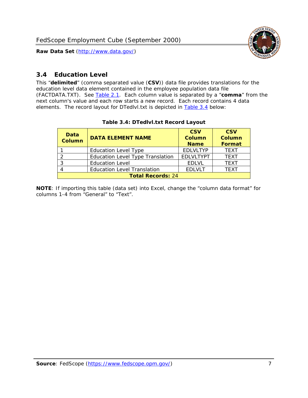

### <span id="page-7-0"></span>*3.4 Education Level*

<span id="page-7-2"></span><span id="page-7-1"></span>This "**delimited**" (comma separated value (**CSV**)) data file provides translations for the education level data element contained in the employee population data file (FACTDATA.TXT). See [Table 2.1](#page-4-1). Each column value is separated by a "**comma**" from the next column's value and each row starts a new record. Each record contains 4 data elements. The record layout for DTedlvl.txt is depicted in [Table 3.4](#page-7-2) below:

| Data<br><b>Column</b>    | <b>DATA ELEMENT NAME</b>                | <b>CSV</b><br><b>Column</b><br><b>Name</b> | <b>CSV</b><br><b>Column</b><br><b>Format</b> |  |  |
|--------------------------|-----------------------------------------|--------------------------------------------|----------------------------------------------|--|--|
|                          | <b>Education Level Type</b>             | <b>EDLVLTYP</b>                            | <b>TEXT</b>                                  |  |  |
|                          | <b>Education Level Type Translation</b> | <b>EDLVLTYPT</b>                           | <b>TEXT</b>                                  |  |  |
|                          | <b>Education Level</b>                  | <b>EDLVL</b>                               | <b>TEXT</b>                                  |  |  |
|                          | <b>Education Level Translation</b>      | <b>EDLVLT</b>                              | <b>TEXT</b>                                  |  |  |
| <b>Total Records: 24</b> |                                         |                                            |                                              |  |  |

#### **Table 3.4: DTedlvl.txt Record Layout**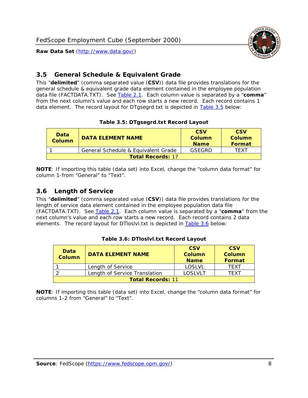<span id="page-8-0"></span>

This "**delimited**" (comma separated value (**CSV**)) data file provides translations for the general schedule & equivalent grade data element contained in the employee population data file (FACTDATA.TXT). See [Table 2.1](#page-4-1). Each column value is separated by a "**comma**" from the next column's value and each row starts a new record. Each record contains 1 data element. The record layout for DTgsegrd.txt is depicted in [Table 3.5](#page-8-4) below:

#### **Table 3.5: DTgsegrd.txt Record Layout**

<span id="page-8-4"></span><span id="page-8-2"></span>

| Data<br>Column | <b>DATA ELEMENT NAME</b>            |        | <b>CSV</b><br>Column<br><b>Format</b> |  |  |  |
|----------------|-------------------------------------|--------|---------------------------------------|--|--|--|
|                | General Schedule & Equivalent Grade | GSFGRD | <b>TFXT</b>                           |  |  |  |
|                | <b>Total Records: 17</b>            |        |                                       |  |  |  |

**NOTE**: If importing this table (data set) into Excel, change the "column data format" for column 1-from "General" to "Text".

#### <span id="page-8-1"></span>*3.6 Length of Service*

<span id="page-8-5"></span>This "**delimited**" (comma separated value (**CSV**)) data file provides translations for the length of service data element contained in the employee population data file (FACTDATA.TXT). See [Table 2.1](#page-4-1). Each column value is separated by a "**comma**" from the next column's value and each row starts a new record. Each record contains 2 data elements. The record layout for DTloslvl.txt is depicted in [Table 3.6](#page-8-5) below:

<span id="page-8-3"></span>

| Data<br><b>Column</b>    | <b>DATA ELEMENT NAME</b>      | <b>CSV</b><br><b>Column</b><br><b>Name</b> | <b>CSV</b><br>Column<br>Format |  |  |
|--------------------------|-------------------------------|--------------------------------------------|--------------------------------|--|--|
|                          | Length of Service             | LOSLVL                                     | TFXT                           |  |  |
|                          | Length of Service Translation | LOSI VLT                                   | TFXT                           |  |  |
| <b>Total Records: 11</b> |                               |                                            |                                |  |  |

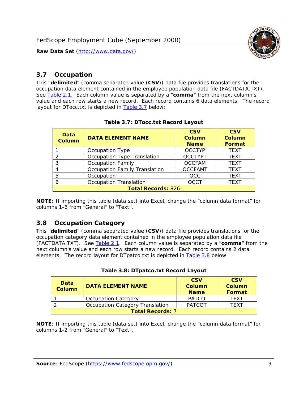

#### <span id="page-9-0"></span>*3.7 Occupation*

<span id="page-9-4"></span>This "**delimited**" (comma separated value (**CSV**)) data file provides translations for the occupation data element contained in the employee population data file (FACTDATA.TXT). See [Table 2.1](#page-4-1). Each column value is separated by a "**comma**" from the next column's value and each row starts a new record. Each record contains 6 data elements. The record layout for DTocc.txt is depicted in [Table 3.7](#page-9-4) below:

<span id="page-9-2"></span>

| Data<br><b>Column</b>     | <b>DATA ELEMENT NAME</b>             | <b>CSV</b><br>Column<br><b>Name</b> | <b>CSV</b><br>Column<br><b>Format</b> |  |  |
|---------------------------|--------------------------------------|-------------------------------------|---------------------------------------|--|--|
|                           | Occupation Type                      | <b>OCCTYP</b>                       | <b>TEXT</b>                           |  |  |
|                           | Occupation Type Translation          | <b>OCCTYPT</b>                      | <b>TEXT</b>                           |  |  |
| ર                         | <b>Occupation Family</b>             | <b>OCCFAM</b>                       | <b>TEXT</b>                           |  |  |
|                           | <b>Occupation Family Translation</b> | <b>OCCFAMT</b>                      | <b>TEXT</b>                           |  |  |
| 5                         | Occupation                           | <b>OCC</b>                          | <b>TEXT</b>                           |  |  |
|                           | <b>Occupation Translation</b>        | <b>OCCT</b>                         | <b>TEXT</b>                           |  |  |
| <b>Total Records: 826</b> |                                      |                                     |                                       |  |  |

#### **Table 3.7: DTocc.txt Record Layout**

**NOTE**: If importing this table (data set) into Excel, change the "column data format" for columns 1-6 from "General" to "Text".

#### <span id="page-9-1"></span>*3.8 Occupation Category*

<span id="page-9-5"></span>This "**delimited**" (comma separated value (**CSV**)) data file provides translations for the occupation category data element contained in the employee population data file (FACTDATA.TXT). See [Table 2.1](#page-4-1). Each column value is separated by a "**comma**" from the next column's value and each row starts a new record. Each record contains 2 data elements. The record layout for DTpatco.txt is depicted in [Table 3.8](#page-9-5) below:

<span id="page-9-3"></span>

| Data<br><b>Column</b>   | <b>DATA ELEMENT NAME</b>        | <b>CSV</b><br>Column<br><b>Name</b> | <b>CSV</b><br>Column<br>Format |
|-------------------------|---------------------------------|-------------------------------------|--------------------------------|
|                         | <b>Occupation Category</b>      | <b>PATCO</b>                        | <b>TFXT</b>                    |
|                         | Occupation Category Translation | <b>PATCOT</b>                       | TFXT                           |
| <b>Total Records: 7</b> |                                 |                                     |                                |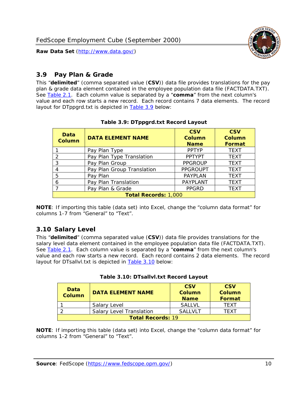

#### <span id="page-10-0"></span>*3.9 Pay Plan & Grade*

<span id="page-10-4"></span>This "**delimited**" (comma separated value (**CSV**)) data file provides translations for the pay plan & grade data element contained in the employee population data file (FACTDATA.TXT). See [Table 2.1](#page-4-1). Each column value is separated by a "**comma**" from the next column's value and each row starts a new record. Each record contains 7 data elements. The record layout for DTppgrd.txt is depicted in **Table 3.9** below:

<span id="page-10-2"></span>

| Data<br><b>Column</b>       | <b>DATA ELEMENT NAME</b>   | <b>CSV</b><br>Column<br><b>Name</b> | <b>CSV</b><br>Column<br><b>Format</b> |
|-----------------------------|----------------------------|-------------------------------------|---------------------------------------|
|                             | Pay Plan Type              | <b>PPTYP</b>                        | <b>TEXT</b>                           |
| $\mathcal{P}$               | Pay Plan Type Translation  | <b>PPTYPT</b>                       | <b>TEXT</b>                           |
| 3                           | Pay Plan Group             | <b>PPGROUP</b>                      | <b>TEXT</b>                           |
|                             | Pay Plan Group Translation | <b>PPGROUPT</b>                     | <b>TEXT</b>                           |
| 5                           | Pay Plan                   | <b>PAYPLAN</b>                      | <b>TEXT</b>                           |
| 6                           | Pay Plan Translation       | PAYPLANT                            | <b>TEXT</b>                           |
|                             | Pay Plan & Grade           | <b>PPGRD</b>                        | <b>TEXT</b>                           |
| <b>Total Records: 1,000</b> |                            |                                     |                                       |

#### **Table 3.9: DTppgrd.txt Record Layout**

**NOTE**: If importing this table (data set) into Excel, change the "column data format" for columns 1-7 from "General" to "Text".

## <span id="page-10-1"></span>*3.10 Salary Level*

<span id="page-10-5"></span><span id="page-10-3"></span>This "**delimited**" (comma separated value (**CSV**)) data file provides translations for the salary level data element contained in the employee population data file (FACTDATA.TXT). See [Table 2.1](#page-4-1). Each column value is separated by a "**comma**" from the next column's value and each row starts a new record. Each record contains 2 data elements. The record layout for DTsallvl.txt is depicted in [Table 3.10](#page-10-5) below:

| <b>Data</b><br>Column    | <b>DATA ELEMENT NAME</b>        | <b>CSV</b><br>Column<br><b>Name</b> | <b>CSV</b><br>Column<br><b>Format</b> |
|--------------------------|---------------------------------|-------------------------------------|---------------------------------------|
|                          | Salary Level                    | <b>SALLVL</b>                       | TFXT                                  |
|                          | <b>Salary Level Translation</b> | SAI I VI T                          | TEXT                                  |
| <b>Total Records: 19</b> |                                 |                                     |                                       |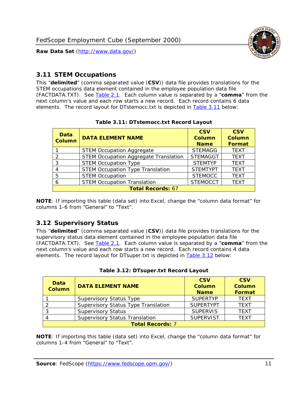

#### <span id="page-11-0"></span>*3.11 STEM Occupations*

<span id="page-11-4"></span>This "**delimited**" (comma separated value (**CSV**)) data file provides translations for the STEM occupations data element contained in the employee population data file (FACTDATA.TXT). See [Table 2.1](#page-4-1). Each column value is separated by a "**comma**" from the next column's value and each row starts a new record. Each record contains 6 data elements. The record layout for DTstemocc.txt is depicted in [Table 3.11](#page-11-4) below:

<span id="page-11-2"></span>

| <b>Data</b><br><b>Column</b> | <b>DATA ELEMENT NAME</b>                     | <b>CSV</b><br><b>Column</b><br><b>Name</b> | <b>CSV</b><br><b>Column</b><br>Format |
|------------------------------|----------------------------------------------|--------------------------------------------|---------------------------------------|
|                              | <b>STEM Occupation Aggregate</b>             | <b>STEMAGG</b>                             | <b>TEXT</b>                           |
|                              | <b>STEM Occupation Aggregate Translation</b> | <b>STEMAGGT</b>                            | <b>TEXT</b>                           |
| 3                            | <b>STEM Occupation Type</b>                  | <b>STEMTYP</b>                             | <b>TFXT</b>                           |
|                              | <b>STEM Occupation Type Translation</b>      | <b>STEMTYPT</b>                            | <b>TEXT</b>                           |
| 5                            | <b>STEM Occupation</b>                       | <b>STEMOCC</b>                             | <b>TEXT</b>                           |
|                              | <b>STEM Occupation Translation</b>           | <b>STEMOCCT</b>                            | <b>TEXT</b>                           |
| <b>Total Records: 67</b>     |                                              |                                            |                                       |

#### **Table 3.11: DTstemocc.txt Record Layout**

**NOTE**: If importing this table (data set) into Excel, change the "column data format" for columns 1-6 from "General" to "Text".

# <span id="page-11-1"></span>*3.12 Supervisory Status*

This "**delimited**" (comma separated value (**CSV**)) data file provides translations for the supervisory status data element contained in the employee population data file (FACTDATA.TXT). See [Table 2.1](#page-4-1). Each column value is separated by a "**comma**" from the next column's value and each row starts a new record. Each record contains 4 data elements. The record layout for DTsuper.txt is depicted in [Table 3.12](#page-11-5) below:

<span id="page-11-5"></span><span id="page-11-3"></span>

| Data<br><b>Column</b>   | <b>DATA ELEMENT NAME</b>              | <b>CSV</b><br>Column<br><b>Name</b> | <b>CSV</b><br><b>Column</b><br>Format |
|-------------------------|---------------------------------------|-------------------------------------|---------------------------------------|
|                         | <b>Supervisory Status Type</b>        | <b>SUPFRTYP</b>                     | <b>TEXT</b>                           |
|                         | Supervisory Status Type Translation   | <b>SUPERTYPT</b>                    | <b>TEXT</b>                           |
|                         | <b>Supervisory Status</b>             | <b>SUPERVIS</b>                     | <b>TEXT</b>                           |
|                         | <b>Supervisory Status Translation</b> | <b>SUPERVIST</b>                    | <b>TEXT</b>                           |
| <b>Total Records: 7</b> |                                       |                                     |                                       |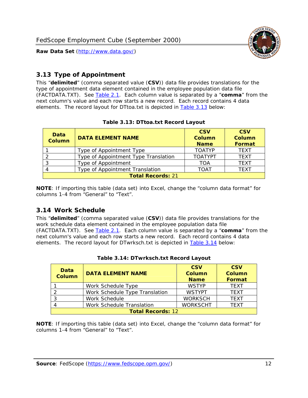

### <span id="page-12-0"></span>*3.13 Type of Appointment*

This "**delimited**" (comma separated value (**CSV**)) data file provides translations for the type of appointment data element contained in the employee population data file (FACTDATA.TXT). See [Table 2.1](#page-4-1). Each column value is separated by a "**comma**" from the next column's value and each row starts a new record. Each record contains 4 data elements. The record layout for DTtoa.txt is depicted in [Table 3.13](#page-12-4) below:

<span id="page-12-4"></span><span id="page-12-2"></span>

| Data<br><b>Column</b>    | <b>DATA ELEMENT NAME</b>             | <b>CSV</b><br><b>Column</b><br><b>Name</b> | <b>CSV</b><br><b>Column</b><br>Format |
|--------------------------|--------------------------------------|--------------------------------------------|---------------------------------------|
|                          | Type of Appointment Type             | <b>TOATYP</b>                              | <b>TFXT</b>                           |
|                          | Type of Appointment Type Translation | <b>TOATYPT</b>                             | <b>TEXT</b>                           |
|                          | Type of Appointment                  | <b>TOA</b>                                 | <b>TEXT</b>                           |
|                          | Type of Appointment Translation      | <b>TOAT</b>                                | <b>TFXT</b>                           |
| <b>Total Records: 21</b> |                                      |                                            |                                       |

#### **Table 3.13: DTtoa.txt Record Layout**

**NOTE**: If importing this table (data set) into Excel, change the "column data format" for columns 1-4 from "General" to "Text".

#### <span id="page-12-1"></span>*3.14 Work Schedule*

<span id="page-12-5"></span>This "**delimited**" (comma separated value (**CSV**)) data file provides translations for the work schedule data element contained in the employee population data file (FACTDATA.TXT). See [Table 2.1](#page-4-1). Each column value is separated by a "**comma**" from the next column's value and each row starts a new record. Each record contains 4 data elements. The record layout for DTwrksch.txt is depicted in [Table 3.14](#page-12-5) below:

<span id="page-12-3"></span>

| Data<br>Column           | <b>DATA ELEMENT NAME</b>       | <b>CSV</b><br><b>Column</b><br><b>Name</b> | <b>CSV</b><br>Column<br><b>Format</b> |
|--------------------------|--------------------------------|--------------------------------------------|---------------------------------------|
|                          | Work Schedule Type             | <b>WSTYP</b>                               | <b>TEXT</b>                           |
| 2                        | Work Schedule Type Translation | <b>WSTYPT</b>                              | <b>TFXT</b>                           |
| 3                        | Work Schedule                  | <b>WORKSCH</b>                             | <b>TFXT</b>                           |
|                          | Work Schedule Translation      | <b>WORKSCHT</b>                            | <b>TFXT</b>                           |
| <b>Total Records: 12</b> |                                |                                            |                                       |

| Table 3.14: DTwrksch.txt Record Layout |
|----------------------------------------|
|----------------------------------------|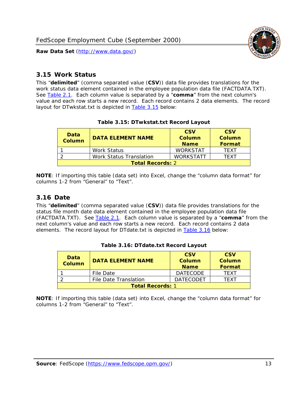

#### <span id="page-13-0"></span>*3.15 Work Status*

<span id="page-13-4"></span><span id="page-13-2"></span>This "**delimited**" (comma separated value (**CSV**)) data file provides translations for the work status data element contained in the employee population data file (FACTDATA.TXT). See [Table 2.1](#page-4-1). Each column value is separated by a "**comma**" from the next column's value and each row starts a new record. Each record contains 2 data elements. The record layout for DTwkstat.txt is depicted in [Table 3.15](#page-13-4) below:

| Data<br><b>Column</b>   | <b>DATA ELEMENT NAME</b>       | <b>CSV</b><br>Column<br><b>Name</b> | <b>CSV</b><br>Column<br><b>Format</b> |
|-------------------------|--------------------------------|-------------------------------------|---------------------------------------|
|                         | <b>Work Status</b>             | <b>WORKSTAT</b>                     | TFXT                                  |
|                         | <b>Work Status Translation</b> | <b>WORKSTATT</b>                    | TFXT                                  |
| <b>Total Records: 2</b> |                                |                                     |                                       |

#### **Table 3.15: DTwkstat.txt Record Layout**

**NOTE**: If importing this table (data set) into Excel, change the "column data format" for columns 1-2 from "General" to "Text".

#### <span id="page-13-1"></span>*3.16 Date*

<span id="page-13-5"></span><span id="page-13-3"></span>This "**delimited**" (comma separated value (**CSV**)) data file provides translations for the status file month date data element contained in the employee population data file (FACTDATA.TXT). See [Table 2.1](#page-4-1). Each column value is separated by a "**comma**" from the next column's value and each row starts a new record. Each record contains 2 data elements. The record layout for DTdate.txt is depicted in [Table 3.16](#page-13-5) below:

| Data<br><b>Column</b>   | <b>DATA ELEMENT NAME</b> | <b>CSV</b><br>Column<br><b>Name</b> | <b>CSV</b><br>Column<br><b>Format</b> |
|-------------------------|--------------------------|-------------------------------------|---------------------------------------|
|                         | File Date                | <b>DATECODE</b>                     | TFXT                                  |
|                         | File Date Translation    | <b>DATECODET</b>                    | TFXT                                  |
| <b>Total Records: 1</b> |                          |                                     |                                       |

**Table 3.16: DTdate.txt Record Layout**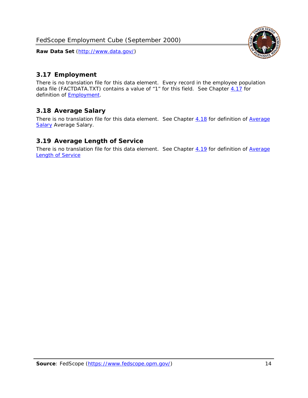

### <span id="page-14-0"></span>*3.17 Employment*

There is no translation file for this data element. Every record in the employee population data file (FACTDATA.TXT) contains a value of "1" for this field. See Chapter [4.17](#page-16-8) for definition of **Employment**.

#### <span id="page-14-1"></span>*3.18 Average Salary*

There is no translation file for this data element. See Chapter [4.18](#page-17-1) for definition of [Average](#page-17-1) **[Salary](#page-17-1) [Average Salary.](#page-17-1)** 

#### <span id="page-14-2"></span>*3.19 Average Length of Service*

There is no translation file for this data element. See Chapter [4.19](#page-17-2) for definition of [Average](#page-17-2) Length of Service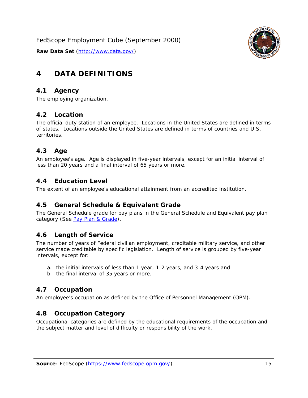

# <span id="page-15-0"></span>**4 DATA DEFINITIONS**

#### <span id="page-15-1"></span>*4.1 Agency*

The employing organization.

#### <span id="page-15-2"></span>*4.2 Location*

The official duty station of an employee. Locations in the United States are defined in terms of states. Locations outside the United States are defined in terms of countries and U.S. territories.

#### <span id="page-15-3"></span>*4.3 Age*

An employee's age. Age is displayed in five-year intervals, except for an initial interval of less than 20 years and a final interval of 65 years or more.

#### <span id="page-15-4"></span>*4.4 Education Level*

The extent of an employee's educational attainment from an accredited institution.

#### <span id="page-15-5"></span>*4.5 General Schedule & Equivalent Grade*

The General Schedule grade for pay plans in the General Schedule and Equivalent pay plan category (See [Pay Plan & Grade](#page-16-0)).

#### <span id="page-15-6"></span>*4.6 Length of Service*

The number of years of Federal civilian employment, creditable military service, and other service made creditable by specific legislation. Length of service is grouped by five-year intervals, except for:

- a. the initial intervals of less than 1 year, 1-2 years, and 3-4 years and
- b. the final interval of 35 years or more.

#### <span id="page-15-7"></span>*4.7 Occupation*

An employee's occupation as defined by the Office of Personnel Management (OPM).

#### <span id="page-15-8"></span>*4.8 Occupation Category*

Occupational categories are defined by the educational requirements of the occupation and the subject matter and level of difficulty or responsibility of the work.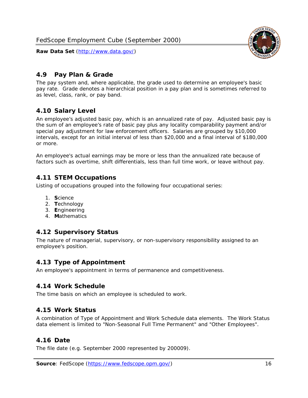<span id="page-16-0"></span>

The pay system and, where applicable, the grade used to determine an employee's basic pay rate. Grade denotes a hierarchical position in a pay plan and is sometimes referred to as level, class, rank, or pay band.

# <span id="page-16-1"></span>*4.10 Salary Level*

An employee's adjusted basic pay, which is an annualized rate of pay. Adjusted basic pay is the sum of an employee's rate of basic pay plus any locality comparability payment and/or special pay adjustment for law enforcement officers. Salaries are grouped by \$10,000 intervals, except for an initial interval of less than \$20,000 and a final interval of \$180,000 or more.

An employee's actual earnings may be more or less than the annualized rate because of factors such as overtime, shift differentials, less than full time work, or leave without pay.

## <span id="page-16-2"></span>*4.11 STEM Occupations*

Listing of occupations grouped into the following four occupational series:

- 1. **S**cience
- 2. **T**echnology
- 3. **E**ngineering
- 4. **M**athematics

#### <span id="page-16-3"></span>*4.12 Supervisory Status*

The nature of managerial, supervisory, or non-supervisory responsibility assigned to an employee's position.

#### <span id="page-16-4"></span>*4.13 Type of Appointment*

An employee's appointment in terms of permanence and competitiveness.

#### <span id="page-16-5"></span>*4.14 Work Schedule*

The time basis on which an employee is scheduled to work.

#### <span id="page-16-6"></span>*4.15 Work Status*

A combination of Type of Appointment and Work Schedule data elements. The Work Status data element is limited to "Non-Seasonal Full Time Permanent" and "Other Employees".

#### <span id="page-16-7"></span>*4.16 Date*

<span id="page-16-8"></span>The file date (e.g. September 2000 represented by 200009).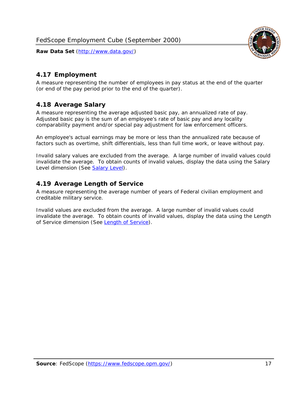

### <span id="page-17-0"></span>*4.17 Employment*

A measure representing the number of employees in pay status at the end of the quarter (or end of the pay period prior to the end of the quarter).

#### <span id="page-17-1"></span>*4.18 Average Salary*

A measure representing the average adjusted basic pay, an annualized rate of pay. Adjusted basic pay is the sum of an employee's rate of basic pay and any locality comparability payment and/or special pay adjustment for law enforcement officers.

An employee's actual earnings may be more or less than the annualized rate because of factors such as overtime, shift differentials, less than full time work, or leave without pay.

Invalid salary values are excluded from the average. A large number of invalid values could invalidate the average. To obtain counts of invalid values, display the data using the Salary Level dimension (See [Salary Level\)](#page-16-1).

#### <span id="page-17-2"></span>*4.19 Average Length of Service*

A measure representing the average number of years of Federal civilian employment and creditable military service.

Invalid values are excluded from the average. A large number of invalid values could invalidate the average. To obtain counts of invalid values, display the data using the Length of Service dimension (See [Length of Service](#page-15-6)).